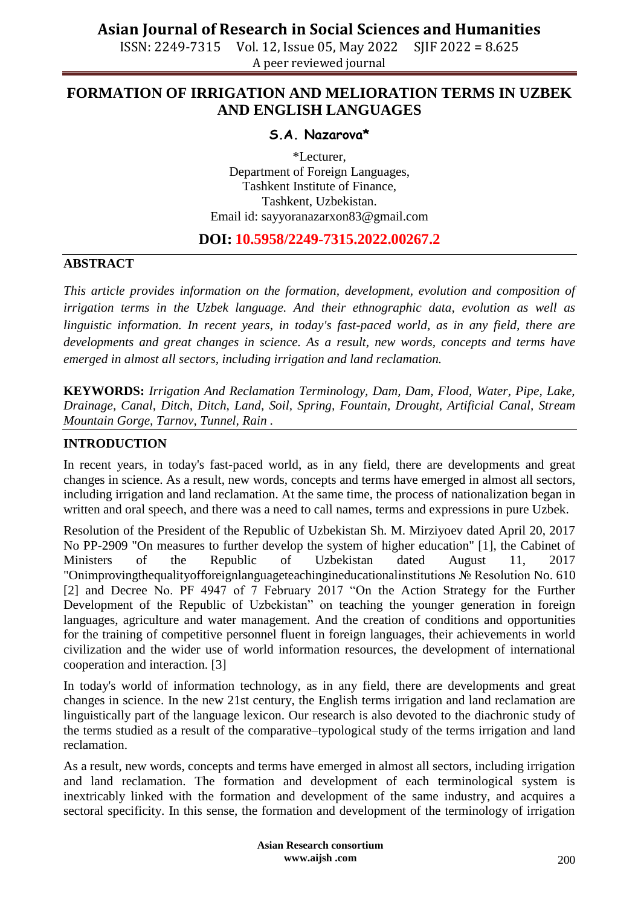ISSN: 2249-7315 Vol. 12, Issue 05, May 2022 SJIF 2022 = 8.625 A peer reviewed journal

### **FORMATION OF IRRIGATION AND MELIORATION TERMS IN UZBEK AND ENGLISH LANGUAGES**

### **S.A. Nazarova\***

\*Lecturer, Department of Foreign Languages, Tashkent Institute of Finance, Tashkent, Uzbekistan. Email id: [sayyoranazarxon83@gmail.com](mailto:sayyoranazarxon83@gmail.com)

#### **DOI: 10.5958/2249-7315.2022.00267.2**

#### **ABSTRACT**

*This article provides information on the formation, development, evolution and composition of irrigation terms in the Uzbek language. And their ethnographic data, evolution as well as linguistic information. In recent years, in today's fast-paced world, as in any field, there are developments and great changes in science. As a result, new words, concepts and terms have emerged in almost all sectors, including irrigation and land reclamation.*

**KEYWORDS:** *Irrigation And Reclamation Terminology, Dam, Dam, Flood, Water, Pipe, Lake, Drainage, Canal, Ditch, Ditch, Land, Soil, Spring, Fountain, Drought, Artificial Canal, Stream Mountain Gorge, Tarnov, Tunnel, Rain .*

#### **INTRODUCTION**

In recent years, in today's fast-paced world, as in any field, there are developments and great changes in science. As a result, new words, concepts and terms have emerged in almost all sectors, including irrigation and land reclamation. At the same time, the process of nationalization began in written and oral speech, and there was a need to call names, terms and expressions in pure Uzbek.

Resolution of the President of the Republic of Uzbekistan Sh. M. Mirziyoev dated April 20, 2017 No PP-2909 "On measures to further develop the system of higher education" [1], the Cabinet of Ministers of the Republic of Uzbekistan dated August 11, 2017 "Onimprovingthequalityofforeignlanguageteachingineducationalinstitutions № Resolution No. 610 [2] and Decree No. PF 4947 of 7 February 2017 "On the Action Strategy for the Further Development of the Republic of Uzbekistan" on teaching the younger generation in foreign languages, agriculture and water management. And the creation of conditions and opportunities for the training of competitive personnel fluent in foreign languages, their achievements in world civilization and the wider use of world information resources, the development of international cooperation and interaction. [3]

In today's world of information technology, as in any field, there are developments and great changes in science. In the new 21st century, the English terms irrigation and land reclamation are linguistically part of the language lexicon. Our research is also devoted to the diachronic study of the terms studied as a result of the comparative–typological study of the terms irrigation and land reclamation.

As a result, new words, concepts and terms have emerged in almost all sectors, including irrigation and land reclamation. The formation and development of each terminological system is inextricably linked with the formation and development of the same industry, and acquires a sectoral specificity. In this sense, the formation and development of the terminology of irrigation

> **Asian Research consortium www.aijsh .com**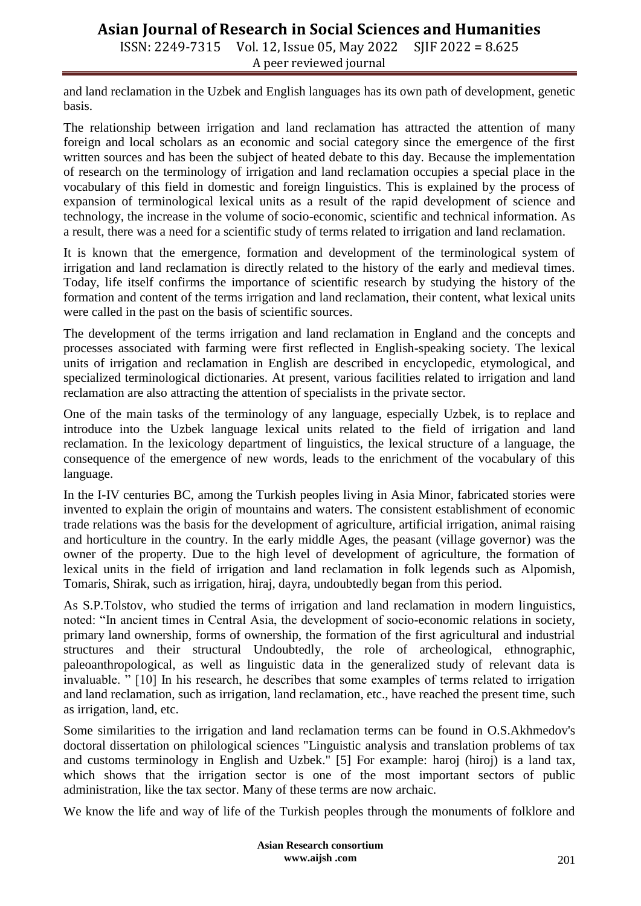ISSN: 2249-7315 Vol. 12, Issue 05, May 2022 SJIF 2022 = 8.625 A peer reviewed journal

and land reclamation in the Uzbek and English languages has its own path of development, genetic basis.

The relationship between irrigation and land reclamation has attracted the attention of many foreign and local scholars as an economic and social category since the emergence of the first written sources and has been the subject of heated debate to this day. Because the implementation of research on the terminology of irrigation and land reclamation occupies a special place in the vocabulary of this field in domestic and foreign linguistics. This is explained by the process of expansion of terminological lexical units as a result of the rapid development of science and technology, the increase in the volume of socio-economic, scientific and technical information. As a result, there was a need for a scientific study of terms related to irrigation and land reclamation.

It is known that the emergence, formation and development of the terminological system of irrigation and land reclamation is directly related to the history of the early and medieval times. Today, life itself confirms the importance of scientific research by studying the history of the formation and content of the terms irrigation and land reclamation, their content, what lexical units were called in the past on the basis of scientific sources.

The development of the terms irrigation and land reclamation in England and the concepts and processes associated with farming were first reflected in English-speaking society. The lexical units of irrigation and reclamation in English are described in encyclopedic, etymological, and specialized terminological dictionaries. At present, various facilities related to irrigation and land reclamation are also attracting the attention of specialists in the private sector.

One of the main tasks of the terminology of any language, especially Uzbek, is to replace and introduce into the Uzbek language lexical units related to the field of irrigation and land reclamation. In the lexicology department of linguistics, the lexical structure of a language, the consequence of the emergence of new words, leads to the enrichment of the vocabulary of this language.

In the I-IV centuries BC, among the Turkish peoples living in Asia Minor, fabricated stories were invented to explain the origin of mountains and waters. The consistent establishment of economic trade relations was the basis for the development of agriculture, artificial irrigation, animal raising and horticulture in the country. In the early middle Ages, the peasant (village governor) was the owner of the property. Due to the high level of development of agriculture, the formation of lexical units in the field of irrigation and land reclamation in folk legends such as Alpomish, Tomaris, Shirak, such as irrigation, hiraj, dayra, undoubtedly began from this period.

As S.P.Tolstov, who studied the terms of irrigation and land reclamation in modern linguistics, noted: "In ancient times in Central Asia, the development of socio-economic relations in society, primary land ownership, forms of ownership, the formation of the first agricultural and industrial structures and their structural Undoubtedly, the role of archeological, ethnographic, paleoanthropological, as well as linguistic data in the generalized study of relevant data is invaluable. " [10] In his research, he describes that some examples of terms related to irrigation and land reclamation, such as irrigation, land reclamation, etc., have reached the present time, such as irrigation, land, etc.

Some similarities to the irrigation and land reclamation terms can be found in O.S.Akhmedov's doctoral dissertation on philological sciences "Linguistic analysis and translation problems of tax and customs terminology in English and Uzbek." [5] For example: haroj (hiroj) is a land tax, which shows that the irrigation sector is one of the most important sectors of public administration, like the tax sector. Many of these terms are now archaic.

We know the life and way of life of the Turkish peoples through the monuments of folklore and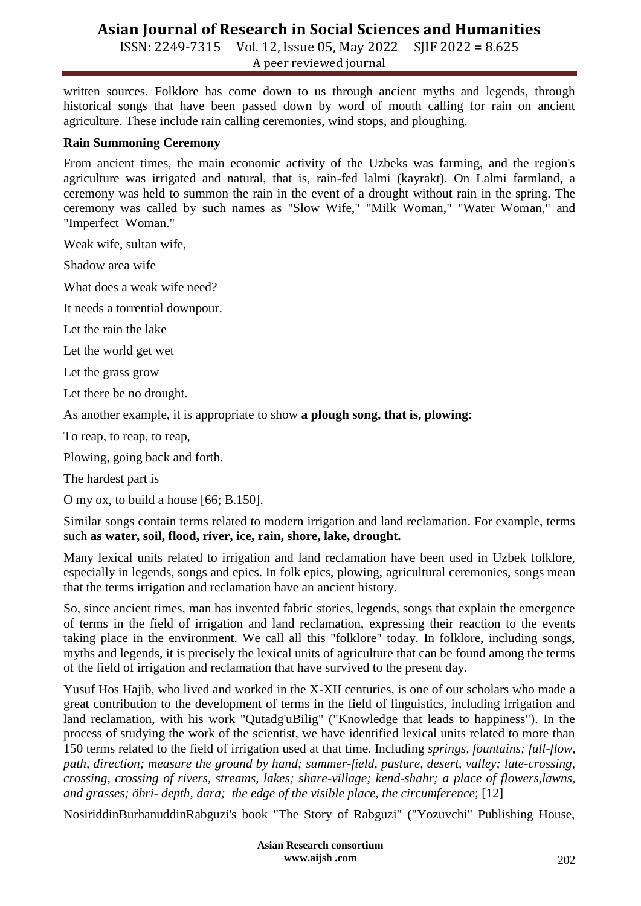ISSN: 2249-7315 Vol. 12, Issue 05, May 2022 SJIF 2022 = 8.625 A peer reviewed journal

written sources. Folklore has come down to us through ancient myths and legends, through historical songs that have been passed down by word of mouth calling for rain on ancient agriculture. These include rain calling ceremonies, wind stops, and ploughing.

#### **Rain Summoning Ceremony**

From ancient times, the main economic activity of the Uzbeks was farming, and the region's agriculture was irrigated and natural, that is, rain-fed lalmi (kayrakt). On Lalmi farmland, a ceremony was held to summon the rain in the event of a drought without rain in the spring. The ceremony was called by such names as "Slow Wife," "Milk Woman," "Water Woman," and "Imperfect Woman."

Weak wife, sultan wife,

Shadow area wife

What does a weak wife need?

It needs a torrential downpour.

Let the rain the lake

Let the world get wet

Let the grass grow

Let there be no drought.

As another example, it is appropriate to show **a plough song, that is, plowing**:

To reap, to reap, to reap,

Plowing, going back and forth.

The hardest part is

O my ox, to build a house [66; B.150].

Similar songs contain terms related to modern irrigation and land reclamation. For example, terms such **as water, soil, flood, river, ice, rain, shore, lake, drought.**

Many lexical units related to irrigation and land reclamation have been used in Uzbek folklore, especially in legends, songs and epics. In folk epics, plowing, agricultural ceremonies, songs mean that the terms irrigation and reclamation have an ancient history.

So, since ancient times, man has invented fabric stories, legends, songs that explain the emergence of terms in the field of irrigation and land reclamation, expressing their reaction to the events taking place in the environment. We call all this "folklore" today. In folklore, including songs, myths and legends, it is precisely the lexical units of agriculture that can be found among the terms of the field of irrigation and reclamation that have survived to the present day.

Yusuf Hos Hajib, who lived and worked in the X-XII centuries, is one of our scholars who made a great contribution to the development of terms in the field of linguistics, including irrigation and land reclamation, with his work "Qutadg'uBilig" ("Knowledge that leads to happiness"). In the process of studying the work of the scientist, we have identified lexical units related to more than 150 terms related to the field of irrigation used at that time. Including *springs, fountains; full-flow, path, direction; measure the ground by hand; summer-field, pasture, desert, valley; late-crossing, crossing, crossing of rivers, streams, lakes; share-village; kend-shahr; a place of flowers,lawns, and grasses; öbri- depth, dara; the edge of the visible place, the circumference*; [12]

NosiriddinBurhanuddinRabguzi's book "The Story of Rabguzi" ("Yozuvchi" Publishing House,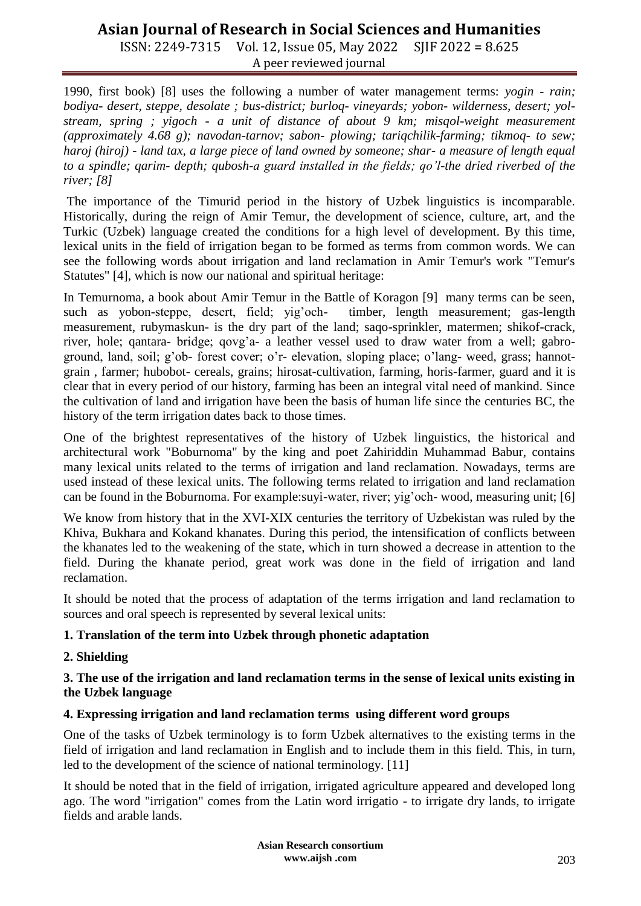ISSN: 2249-7315 Vol. 12, Issue 05, May 2022 SJIF 2022 = 8.625 A peer reviewed journal

1990, first book) [8] uses the following a number of water management terms: *yogin - rain; bodiya- desert, steppe, desolate ; bus-district; burloq- vineyards; yobon- wilderness, desert; yolstream, spring ; yigoch - a unit of distance of about 9 km; misqol-weight measurement (approximately 4.68 g); navodan-tarnov; sabon- plowing; tariqchilik-farming; tikmoq- to sew; haroj (hiroj) - land tax, a large piece of land owned by someone; shar- a measure of length equal to a spindle; qarim- depth; qubosh-a guard installed in the fields; qo'l-the dried riverbed of the river; [8]*

The importance of the Timurid period in the history of Uzbek linguistics is incomparable. Historically, during the reign of Amir Temur, the development of science, culture, art, and the Turkic (Uzbek) language created the conditions for a high level of development. By this time, lexical units in the field of irrigation began to be formed as terms from common words. We can see the following words about irrigation and land reclamation in Amir Temur's work "Temur's Statutes" [4], which is now our national and spiritual heritage:

In Temurnoma, a book about Amir Temur in the Battle of Koragon [9] many terms can be seen, such as yobon-steppe, desert, field; yig'och- timber, length measurement; gas-length measurement, rubymaskun- is the dry part of the land; saqo-sprinkler, matermen; shikof-crack, river, hole; qantara- bridge; qovg'a- a leather vessel used to draw water from a well; gabroground, land, soil; g'ob- forest cover; o'r- elevation, sloping place; o'lang- weed, grass; hannotgrain , farmer; hubobot- cereals, grains; hirosat-cultivation, farming, horis-farmer, guard and it is clear that in every period of our history, farming has been an integral vital need of mankind. Since the cultivation of land and irrigation have been the basis of human life since the centuries BC, the history of the term irrigation dates back to those times.

One of the brightest representatives of the history of Uzbek linguistics, the historical and architectural work "Boburnoma" by the king and poet Zahiriddin Muhammad Babur, contains many lexical units related to the terms of irrigation and land reclamation. Nowadays, terms are used instead of these lexical units. The following terms related to irrigation and land reclamation can be found in the Boburnoma. For example:suyi-water, river; yig'och- wood, measuring unit; [6]

We know from history that in the XVI-XIX centuries the territory of Uzbekistan was ruled by the Khiva, Bukhara and Kokand khanates. During this period, the intensification of conflicts between the khanates led to the weakening of the state, which in turn showed a decrease in attention to the field. During the khanate period, great work was done in the field of irrigation and land reclamation.

It should be noted that the process of adaptation of the terms irrigation and land reclamation to sources and oral speech is represented by several lexical units:

### **1. Translation of the term into Uzbek through phonetic adaptation**

### **2. Shielding**

#### **3. The use of the irrigation and land reclamation terms in the sense of lexical units existing in the Uzbek language**

### **4. Expressing irrigation and land reclamation terms using different word groups**

One of the tasks of Uzbek terminology is to form Uzbek alternatives to the existing terms in the field of irrigation and land reclamation in English and to include them in this field. This, in turn, led to the development of the science of national terminology. [11]

It should be noted that in the field of irrigation, irrigated agriculture appeared and developed long ago. The word "irrigation" comes from the Latin word irrigatio - to irrigate dry lands, to irrigate fields and arable lands.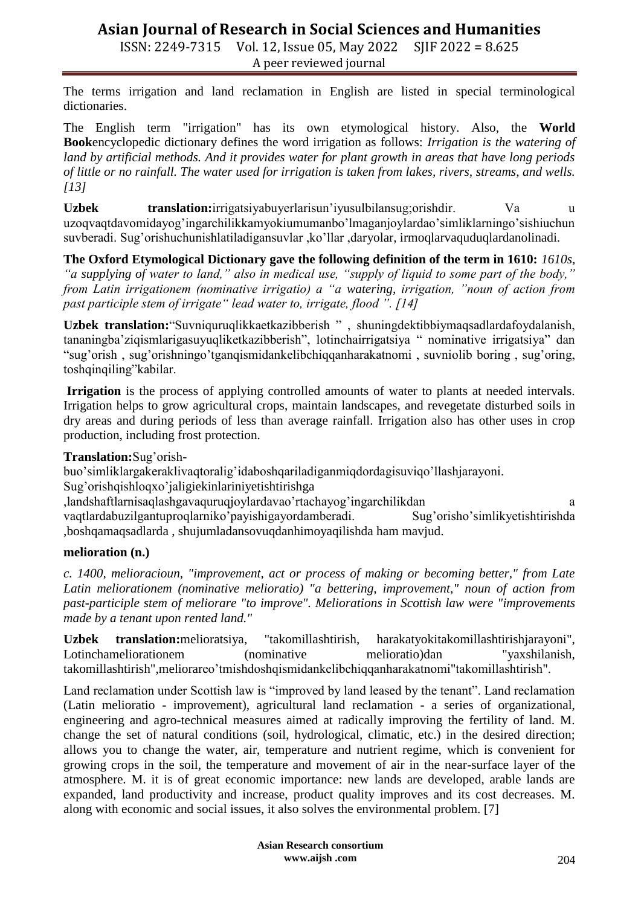ISSN: 2249-7315 Vol. 12, Issue 05, May 2022 SJIF 2022 = 8.625 A peer reviewed journal

The terms irrigation and land reclamation in English are listed in special terminological dictionaries.

The English term "irrigation" has its own etymological history. Also, the **World Book**encyclopedic dictionary defines the word irrigation as follows: *Irrigation is the watering of land by artificial methods. And it provides water for plant growth in areas that have long periods of little or no rainfall. The water used for irrigation is taken from lakes, rivers, streams, and wells. [13]*

**Uzbek translation:**irrigatsiyabuyerlarisun'iyusulbilansug;orishdir. Va u uzoqvaqtdavomidayog'ingarchilikkamyokiumumanbo'lmaganjoylardao'simliklarningo'sishiuchun suvberadi. Sug'orishuchunishlatiladigansuvlar ,ko'llar ,daryolar, irmoqlarvaquduqlardanolinadi.

**The Oxford Etymological Dictionary gave the following definition of the term in 1610:** *1610s, "a supplying of water to land," also in medical use, "supply of liquid to some part of the body," from Latin irrigationem (nominative irrigatio) a "a watering, irrigation, "noun of action from past participle stem of irrigate" lead water to, irrigate, flood ". [14]*

**Uzbek translation:**"Suvniquruqlikkaetkazibberish " , shuningdektibbiymaqsadlardafoydalanish, tananingba'ziqismlarigasuyuqliketkazibberish", lotinchairrigatsiya " nominative irrigatsiya" dan "sug'orish , sug'orishningo'tganqismidankelibchiqqanharakatnomi , suvniolib boring , sug'oring, toshqinqiling"kabilar.

**Irrigation** is the process of applying controlled amounts of water to plants at needed intervals. Irrigation helps to grow agricultural crops, maintain landscapes, and revegetate disturbed soils in dry areas and during periods of less than average rainfall. Irrigation also has other uses in crop production, including frost protection.

**Translation:**Sug'orish-

buo'simliklargakeraklivaqtoralig'idaboshqariladiganmiqdordagisuviqo'llashjarayoni.

Sug'orishqishloqxo'jaligiekinlariniyetishtirishga

,landshaftlarnisaqlashgavaquruqjoylardavao'rtachayog'ingarchilikdan a vaqtlardabuzilgantuproqlarniko'payishigayordamberadi. Sug'orisho'simlikyetishtirishda ,boshqamaqsadlarda , shujumladansovuqdanhimoyaqilishda ham mavjud.

### **melioration (n.)**

*c. 1400, melioracioun, "improvement, act or process of making or becoming better," from Late Latin meliorationem (nominative melioratio) "a bettering, improvement," noun of action from past-participle stem of meliorare "to improve". Meliorations in Scottish law were "improvements made by a tenant upon rented land."*

**Uzbek translation:**melioratsiya, "takomillashtirish, harakatyokitakomillashtirishjarayoni", Lotinchameliorationem (nominative melioratio)dan "yaxshilanish, takomillashtirish",meliorareo'tmishdoshqismidankelibchiqqanharakatnomi"takomillashtirish".

Land reclamation under Scottish law is "improved by land leased by the tenant". Land reclamation (Latin melioratio - improvement), agricultural land reclamation - a series of organizational, engineering and agro-technical measures aimed at radically improving the fertility of land. M. change the set of natural conditions (soil, hydrological, climatic, etc.) in the desired direction; allows you to change the water, air, temperature and nutrient regime, which is convenient for growing crops in the soil, the temperature and movement of air in the near-surface layer of the atmosphere. M. it is of great economic importance: new lands are developed, arable lands are expanded, land productivity and increase, product quality improves and its cost decreases. M. along with economic and social issues, it also solves the environmental problem. [7]

> **Asian Research consortium www.aijsh .com**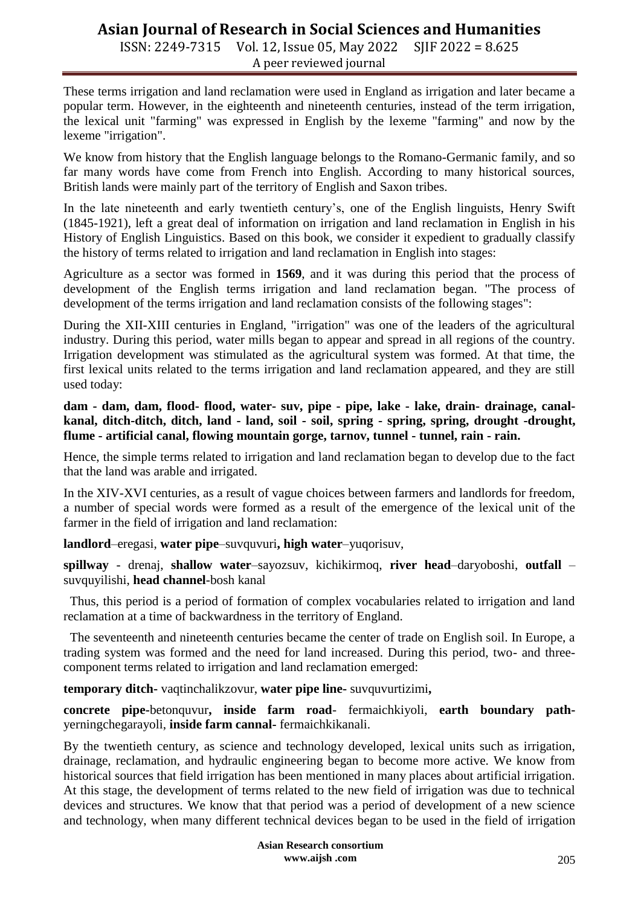ISSN: 2249-7315 Vol. 12, Issue 05, May 2022 SJIF 2022 = 8.625 A peer reviewed journal

These terms irrigation and land reclamation were used in England as irrigation and later became a popular term. However, in the eighteenth and nineteenth centuries, instead of the term irrigation, the lexical unit "farming" was expressed in English by the lexeme "farming" and now by the lexeme "irrigation".

We know from history that the English language belongs to the Romano-Germanic family, and so far many words have come from French into English. According to many historical sources, British lands were mainly part of the territory of English and Saxon tribes.

In the late nineteenth and early twentieth century's, one of the English linguists, Henry Swift (1845-1921), left a great deal of information on irrigation and land reclamation in English in his History of English Linguistics. Based on this book, we consider it expedient to gradually classify the history of terms related to irrigation and land reclamation in English into stages:

Agriculture as a sector was formed in **1569**, and it was during this period that the process of development of the English terms irrigation and land reclamation began. "The process of development of the terms irrigation and land reclamation consists of the following stages":

During the XII-XIII centuries in England, "irrigation" was one of the leaders of the agricultural industry. During this period, water mills began to appear and spread in all regions of the country. Irrigation development was stimulated as the agricultural system was formed. At that time, the first lexical units related to the terms irrigation and land reclamation appeared, and they are still used today:

**dam - dam, dam, flood- flood, water- suv, pipe - pipe, lake - lake, drain- drainage, canalkanal, ditch-ditch, ditch, land - land, soil - soil, spring - spring, spring, drought -drought, flume - artificial canal, flowing mountain gorge, tarnov, tunnel - tunnel, rain - rain.**

Hence, the simple terms related to irrigation and land reclamation began to develop due to the fact that the land was arable and irrigated.

In the XIV-XVI centuries, as a result of vague choices between farmers and landlords for freedom, a number of special words were formed as a result of the emergence of the lexical unit of the farmer in the field of irrigation and land reclamation:

**landlord**–eregasi, **water pipe**–suvquvuri**, high water**–yuqorisuv,

**spillway** - drenaj, **shallow water**–sayozsuv, kichikirmoq, **river head**–daryoboshi, **outfall** – suvquyilishi, **head channel**-bosh kanal

 Thus, this period is a period of formation of complex vocabularies related to irrigation and land reclamation at a time of backwardness in the territory of England.

 The seventeenth and nineteenth centuries became the center of trade on English soil. In Europe, a trading system was formed and the need for land increased. During this period, two- and threecomponent terms related to irrigation and land reclamation emerged:

**temporary ditch-** vaqtinchalikzovur, **water pipe line-** suvquvurtizimi**,**

**concrete pipe-**betonquvur**, inside farm road**- fermaichkiyoli, **earth boundary path**yerningchegarayoli, **inside farm cannal-** fermaichkikanali.

By the twentieth century, as science and technology developed, lexical units such as irrigation, drainage, reclamation, and hydraulic engineering began to become more active. We know from historical sources that field irrigation has been mentioned in many places about artificial irrigation. At this stage, the development of terms related to the new field of irrigation was due to technical devices and structures. We know that that period was a period of development of a new science and technology, when many different technical devices began to be used in the field of irrigation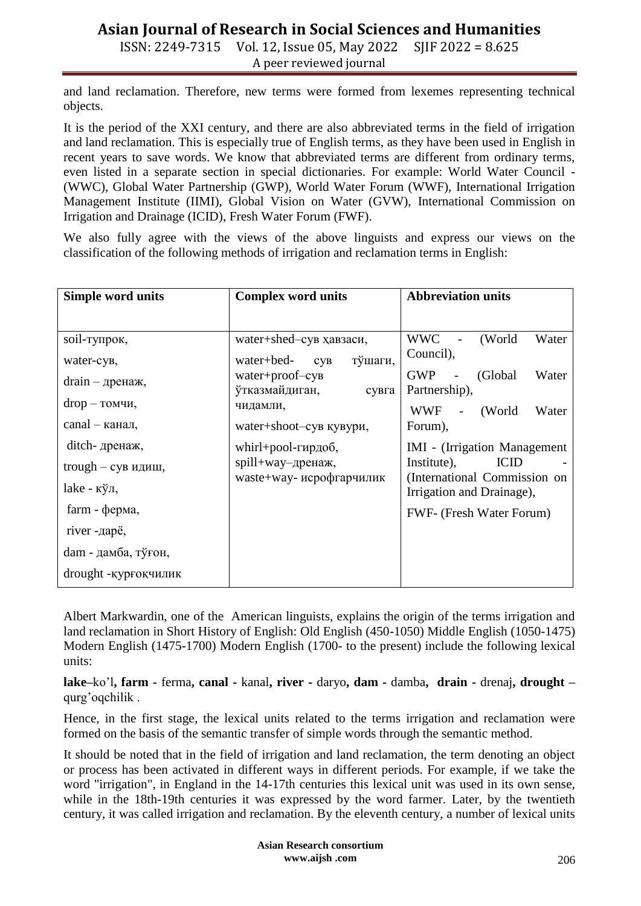ISSN: 2249-7315 Vol. 12, Issue 05, May 2022 SJIF 2022 = 8.625 A peer reviewed journal

and land reclamation. Therefore, new terms were formed from lexemes representing technical objects.

It is the period of the XXI century, and there are also abbreviated terms in the field of irrigation and land reclamation. This is especially true of English terms, as they have been used in English in recent years to save words. We know that abbreviated terms are different from ordinary terms, even listed in a separate section in special dictionaries. For example: World Water Council - (WWC), Global Water Partnership (GWP), World Water Forum (WWF), International Irrigation Management Institute (IIMI), Global Vision on Water (GVW), International Commission on Irrigation and Drainage (ICID), Fresh Water Forum (FWF).

We also fully agree with the views of the above linguists and express our views on the classification of the following methods of irrigation and reclamation terms in English:

| <b>Simple word units</b>        | <b>Complex word units</b>           | <b>Abbreviation units</b>                                           |
|---------------------------------|-------------------------------------|---------------------------------------------------------------------|
|                                 |                                     |                                                                     |
| soil-тупрок,                    | water+shed-сув хавзаси,             | <b>WWC</b><br>(World<br>Water                                       |
| water-сув,                      | тўшаги,<br>water+bed-<br>CVB        | Council),                                                           |
| $drain - qpeHax,$               | water+proof-cyB                     | <b>GWP</b><br>(Global)<br>Water                                     |
| $drop - $ томчи,                | ўтказмайдиган,<br>сувга<br>чидамли, | Partnership),<br>WWF<br>(World<br>Water<br>$\overline{\phantom{a}}$ |
| $\text{canal} - \text{канал}$ , | water+shoot-сув кувури,             | Forum),                                                             |
| ditch- дренаж,                  | $whirl+pool-rup\mu0$                | <b>IMI</b> - (Irrigation Management)                                |
| trough $-$ сув идиш,            | spill+way-дренаж,                   | Institute),<br><b>ICID</b>                                          |
| lake - кўл,                     | waste+way- исрофгарчилик            | (International Commission on<br>Irrigation and Drainage),           |
| farm - ферма,                   |                                     | FWF- (Fresh Water Forum)                                            |
| river -дарё,                    |                                     |                                                                     |
| dam - дамба, тўғон,             |                                     |                                                                     |
| drought -қурғоқчилик            |                                     |                                                                     |

Albert Markwardin, one of the American linguists, explains the origin of the terms irrigation and land reclamation in Short History of English: Old English (450-1050) Middle English (1050-1475) Modern English (1475-1700) Modern English (1700- to the present) include the following lexical units:

**lake–**ko'l**, farm -** ferma**, canal -** kanal**, river -** daryo**, dam -** damba**, drain -** drenaj**, drought –** qurg'oqchilik .

Hence, in the first stage, the lexical units related to the terms irrigation and reclamation were formed on the basis of the semantic transfer of simple words through the semantic method.

It should be noted that in the field of irrigation and land reclamation, the term denoting an object or process has been activated in different ways in different periods. For example, if we take the word "irrigation", in England in the 14-17th centuries this lexical unit was used in its own sense, while in the 18th-19th centuries it was expressed by the word farmer. Later, by the twentieth century, it was called irrigation and reclamation. By the eleventh century, a number of lexical units